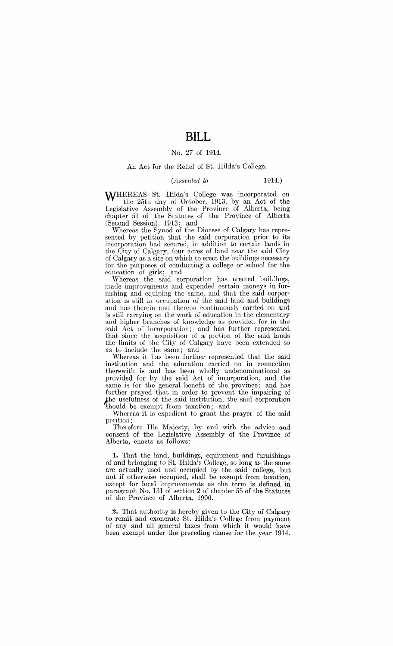# **BILL**

### No. 27 of 1914.

### An Act for the Relief of St. Hilda's College.

#### *(Assented to* 1914.)

WHEREAS St. Hilda's College was incorporated on the 25th day of October, H113, by an Act of the Legislative Assembly of the Province of Alberta, being chapter 51 of the Statutes of the Province of Alberta (Second Session), 1913; and

Whereas the Synod of the Diocese of Calgary has represented by petition that the said corporation prior to its incorporation had secured, in addition to certain lands in the City of Calgary, four acres of land near the said City of Calgary as a site on which to erect the buildings necessary for the purposes of conducting a college or school for the education of girls; and

Whereas the said corporation has erected buildings, made improvements and expended certain moneys in furnishing and equiping the same, and that the said corporation is still in occupation of the said land and buildings and has therein and thereon continuously carried on and is still carrying on the work of education in the elementary and higher branches of knowledge as provided for in the said Act of incorporation; and has further represented that since the acquisition of a portion of the said lands the limits of the City of Calgary have been extended so as to include the same; and

Whereas it has been further represented that the said institution and the education carried on in connection therewith is and has been wholly undenominational as provided for by the said Act of incorporation, and the same is for the general benefit of the province; and has further prayed that in order to prevent the impairing of the usefulness of the said institution, the said corporation 'should be exempt from taxation; and

Whereas it is expedient to grant the prayer of the said petition;

Therefore His Majesty, by and with the advice and consent of the Legislative Assembly of the Province of Alberta, enacts as follows:

**1.** That the land, buildings, equipment and furnishings of and belonging to St. Hilda's College, so long as the same are actually used and occupied by the said college, but not if otherwise occupied, shall be exempt from taxation, except for local improvements as the term is defined in paragraph No. 131 of section 2 of chapter 55 of the Statutes of the Province of Alberta, 1906.

**2.** That authority is hereby given to the City of Calgary to remit and exonerate St. Hilda's College from payment of any and all general taxes from which it would have been exempt under the preceding clause for the year 1914.